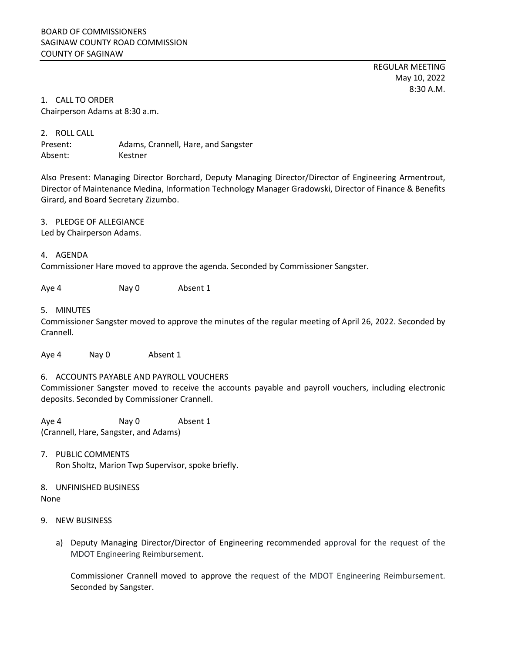REGULAR MEETING May 10, 2022 8:30 A.M.

1. CALL TO ORDER Chairperson Adams at 8:30 a.m.

2. ROLL CALL Present: Adams, Crannell, Hare, and Sangster Absent: Kestner

Also Present: Managing Director Borchard, Deputy Managing Director/Director of Engineering Armentrout, Director of Maintenance Medina, Information Technology Manager Gradowski, Director of Finance & Benefits Girard, and Board Secretary Zizumbo.

3. PLEDGE OF ALLEGIANCE

Led by Chairperson Adams.

## 4. AGENDA

Commissioner Hare moved to approve the agenda. Seconded by Commissioner Sangster.

Aye 4 Nay 0 Absent 1

## 5. MINUTES

Commissioner Sangster moved to approve the minutes of the regular meeting of April 26, 2022. Seconded by Crannell.

Aye 4 Nay 0 Absent 1

## 6. ACCOUNTS PAYABLE AND PAYROLL VOUCHERS

Commissioner Sangster moved to receive the accounts payable and payroll vouchers, including electronic deposits. Seconded by Commissioner Crannell.

Aye 4 Nay 0 Absent 1 (Crannell, Hare, Sangster, and Adams)

7. PUBLIC COMMENTS Ron Sholtz, Marion Twp Supervisor, spoke briefly.

8. UNFINISHED BUSINESS None

- 9. NEW BUSINESS
	- a) Deputy Managing Director/Director of Engineering recommended approval for the request of the MDOT Engineering Reimbursement.

Commissioner Crannell moved to approve the request of the MDOT Engineering Reimbursement. Seconded by Sangster.